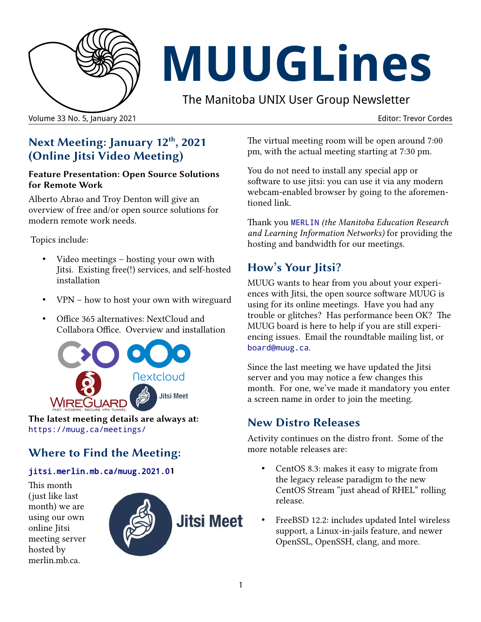

# **MUUGLines**

The Manitoba UNIX User Group Newsletter

Volume 33 No. 5, January 2021 Editor: Trevor Cordes

## **Next Meeting: January 12th, 2021 (Online Jitsi Video Meeting)**

#### **Feature Presentation: Open Source Solutions for Remote Work**

Alberto Abrao and Troy Denton will give an overview of free and/or open source solutions for modern remote work needs.

Topics include:

- Video meetings hosting your own with Jitsi. Existing free(!) services, and self-hosted installation
- VPN how to host your own with wireguard
- Office 365 alternatives: NextCloud and Collabora Office. Overview and installation



**The latest meeting details are always at:** <https://muug.ca/meetings/>

# **Where to Find the Meeting:**

#### [jitsi.merlin.mb.ca/muug.2021.0](https://jitsi.merlin.mb.ca/muug.2020.06)**1**

This month (just like last month) we are using our own online Jitsi meeting server hosted by merlin.mb.ca.



The virtual meeting room will be open around 7:00 pm, with the actual meeting starting at 7:30 pm.

You do not need to install any special app or software to use jitsi: you can use it via any modern webcam-enabled browser by going to the aforementioned link.

Thank you [MERLIN](https://merlin.mb.ca/) *(the Manitoba Education Research and Learning Information Networks)* for providing the hosting and bandwidth for our meetings.

## **How's Your Jitsi?**

MUUG wants to hear from you about your experiences with Jitsi, the open source software MUUG is using for its online meetings. Have you had any trouble or glitches? Has performance been OK? The MUUG board is here to help if you are still experiencing issues. Email the roundtable mailing list, or [board@muug.ca](mailto:board@muug.ca).

Since the last meeting we have updated the Jitsi server and you may notice a few changes this month. For one, we've made it mandatory you enter a screen name in order to join the meeting.

## **New Distro Releases**

Activity continues on the distro front. Some of the more notable releases are:

- CentOS 8.3: makes it easy to migrate from the legacy release paradigm to the new CentOS Stream "just ahead of RHEL" rolling release.
- FreeBSD 12.2: includes updated Intel wireless support, a Linux-in-jails feature, and newer OpenSSL, OpenSSH, clang, and more.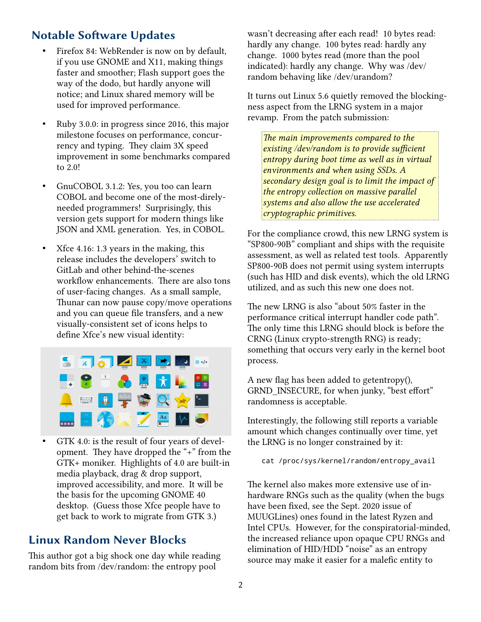### **Notable Software Updates**

- Firefox 84: WebRender is now on by default, if you use GNOME and X11, making things faster and smoother; Flash support goes the way of the dodo, but hardly anyone will notice; and Linux shared memory will be used for improved performance.
- Ruby 3.0.0: in progress since 2016, this major milestone focuses on performance, concurrency and typing. They claim 3X speed improvement in some benchmarks compared to 2.0!
- GnuCOBOL 3.1.2: Yes, you too can learn COBOL and become one of the most-direlyneeded programmers! Surprisingly, this version gets support for modern things like JSON and XML generation. Yes, in COBOL.
- Xfce 4.16: 1.3 years in the making, this release includes the developers' switch to GitLab and other behind-the-scenes workflow enhancements. There are also tons of user-facing changes. As a small sample, Thunar can now pause copy/move operations and you can queue file transfers, and a new visually-consistent set of icons helps to define Xfce's new visual identity:



GTK 4.0: is the result of four years of development. They have dropped the "+" from the GTK+ moniker. Highlights of 4.0 are built-in media playback, drag & drop support, improved accessibility, and more. It will be the basis for the upcoming GNOME 40 desktop. (Guess those Xfce people have to get back to work to migrate from GTK 3.)

#### **Linux Random Never Blocks**

This author got a big shock one day while reading random bits from /dev/random: the entropy pool

wasn't decreasing after each read! 10 bytes read: hardly any change. 100 bytes read: hardly any change. 1000 bytes read (more than the pool indicated): hardly any change. Why was /dev/ random behaving like /dev/urandom?

It turns out Linux 5.6 quietly removed the blockingness aspect from the LRNG system in a major revamp. From the patch submission:

*The main improvements compared to the existing /dev/random is to provide sufficient entropy during boot time as well as in virtual environments and when using SSDs. A secondary design goal is to limit the impact of the entropy collection on massive parallel systems and also allow the use accelerated cryptographic primitives.*

For the compliance crowd, this new LRNG system is "SP800-90B" compliant and ships with the requisite assessment, as well as related test tools. Apparently SP800-90B does not permit using system interrupts (such has HID and disk events), which the old LRNG utilized, and as such this new one does not.

The new LRNG is also "about 50% faster in the performance critical interrupt handler code path". The only time this LRNG should block is before the CRNG (Linux crypto-strength RNG) is ready; something that occurs very early in the kernel boot process.

A new flag has been added to getentropy(), GRND\_INSECURE, for when junky, "best effort" randomness is acceptable.

Interestingly, the following still reports a variable amount which changes continually over time, yet the LRNG is no longer constrained by it:

cat /proc/sys/kernel/random/entropy\_avail

The kernel also makes more extensive use of inhardware RNGs such as the quality (when the bugs have been fixed, see the Sept. 2020 issue of MUUGLines) ones found in the latest Ryzen and Intel CPUs. However, for the conspiratorial-minded, the increased reliance upon opaque CPU RNGs and elimination of HID/HDD "noise" as an entropy source may make it easier for a malefic entity to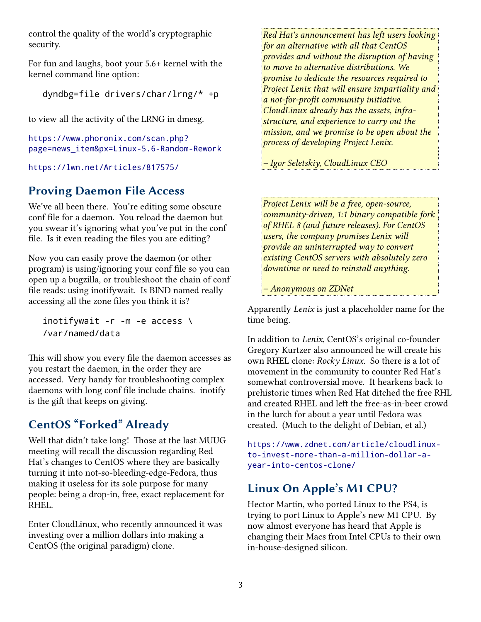control the quality of the world's cryptographic security.

For fun and laughs, boot your 5.6+ kernel with the kernel command line option:

dyndbg=file drivers/char/lrng/\* +p

to view all the activity of the LRNG in dmesg.

[https://www.phoronix.com/scan.php?](https://www.phoronix.com/scan.php?page=news_item&px=Linux-5.6-Random-Rework) [page=news\\_item&px=Linux-5.6-Random-Rework](https://www.phoronix.com/scan.php?page=news_item&px=Linux-5.6-Random-Rework)

<https://lwn.net/Articles/817575/>

## **Proving Daemon File Access**

We've all been there. You're editing some obscure conf file for a daemon. You reload the daemon but you swear it's ignoring what you've put in the conf file. Is it even reading the files you are editing?

Now you can easily prove the daemon (or other program) is using/ignoring your conf file so you can open up a bugzilla, or troubleshoot the chain of conf file reads: using inotifywait. Is BIND named really accessing all the zone files you think it is?

inotifywait -r -m -e access \ /var/named/data

This will show you every file the daemon accesses as you restart the daemon, in the order they are accessed. Very handy for troubleshooting complex daemons with long conf file include chains. inotify is the gift that keeps on giving.

# **CentOS "Forked" Already**

Well that didn't take long! Those at the last MUUG meeting will recall the discussion regarding Red Hat's changes to CentOS where they are basically turning it into not-so-bleeding-edge-Fedora, thus making it useless for its sole purpose for many people: being a drop-in, free, exact replacement for RHEL.

Enter CloudLinux, who recently announced it was investing over a million dollars into making a CentOS (the original paradigm) clone.

*Red Hat's announcement has left users looking for an alternative with all that CentOS provides and without the disruption of having to move to alternative distributions. We promise to dedicate the resources required to Project Lenix that will ensure impartiality and a not-for-profit community initiative. CloudLinux already has the assets, infrastructure, and experience to carry out the mission, and we promise to be open about the process of developing Project Lenix.*

*– Igor Seletskiy, CloudLinux CEO*

*Project Lenix will be a free, open-source, community-driven, 1:1 binary compatible fork of RHEL 8 (and future releases). For CentOS users, the company promises Lenix will provide an uninterrupted way to convert existing CentOS servers with absolutely zero downtime or need to reinstall anything.*

*– Anonymous on ZDNet*

Apparently *Lenix* is just a placeholder name for the time being.

In addition to *Lenix*, CentOS's original co-founder Gregory Kurtzer also announced he will create his own RHEL clone: *Rocky Linux*. So there is a lot of movement in the community to counter Red Hat's somewhat controversial move. It hearkens back to prehistoric times when Red Hat ditched the free RHL and created RHEL and left the free-as-in-beer crowd in the lurch for about a year until Fedora was created. (Much to the delight of Debian, et al.)

[https://www.zdnet.com/article/cloudlinux](https://www.zdnet.com/article/cloudlinux-to-invest-more-than-a-million-dollar-a-year-into-centos-clone/)[to-invest-more-than-a-million-dollar-a](https://www.zdnet.com/article/cloudlinux-to-invest-more-than-a-million-dollar-a-year-into-centos-clone/)[year-into-centos-clone/](https://www.zdnet.com/article/cloudlinux-to-invest-more-than-a-million-dollar-a-year-into-centos-clone/)

## **Linux On Apple's M1 CPU?**

Hector Martin, who ported Linux to the PS4, is trying to port Linux to Apple's new M1 CPU. By now almost everyone has heard that Apple is changing their Macs from Intel CPUs to their own in-house-designed silicon.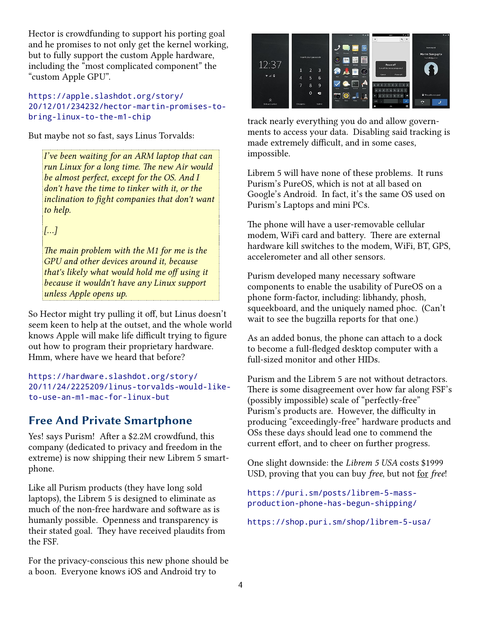Hector is crowdfunding to support his porting goal and he promises to not only get the kernel working, but to fully support the custom Apple hardware, including the "most complicated component" the "custom Apple GPU".

#### [https://apple.slashdot.org/story/](https://apple.slashdot.org/story/20/12/01/234232/hector-martin-promises-to-bring-linux-to-the-m1-chip) [20/12/01/234232/hector-martin-promises-to](https://apple.slashdot.org/story/20/12/01/234232/hector-martin-promises-to-bring-linux-to-the-m1-chip)[bring-linux-to-the-m1-chip](https://apple.slashdot.org/story/20/12/01/234232/hector-martin-promises-to-bring-linux-to-the-m1-chip)

But maybe not so fast, says Linus Torvalds:

*I've been waiting for an ARM laptop that can run Linux for a long time. The new Air would be almost perfect, except for the OS. And I don't have the time to tinker with it, or the inclination to fight companies that don't want to help.*

*[…]*

*The main problem with the M1 for me is the GPU and other devices around it, because that's likely what would hold me off using it because it wouldn't have any Linux support unless Apple opens up.*

So Hector might try pulling it off, but Linus doesn't seem keen to help at the outset, and the whole world knows Apple will make life difficult trying to figure out how to program their proprietary hardware. Hmm, where have we heard that before?

```
https://hardware.slashdot.org/story/
20/11/24/2225209/linus-torvalds-would-like-
to-use-an-m1-mac-for-linux-but
```
## **Free And Private Smartphone**

Yes! says Purism! After a \$2.2M crowdfund, this company (dedicated to privacy and freedom in the extreme) is now shipping their new Librem 5 smartphone.

Like all Purism products (they have long sold laptops), the Librem 5 is designed to eliminate as much of the non-free hardware and software as is humanly possible. Openness and transparency is their stated goal. They have received plaudits from the FSF.

For the privacy-conscious this new phone should be a boon. Everyone knows iOS and Android try to



track nearly everything you do and allow governments to access your data. Disabling said tracking is made extremely difficult, and in some cases, impossible.

Librem 5 will have none of these problems. It runs Purism's PureOS, which is not at all based on Google's Android. In fact, it's the same OS used on Purism's Laptops and mini PCs.

The phone will have a user-removable cellular modem, WiFi card and battery. There are external hardware kill switches to the modem, WiFi, BT, GPS, accelerometer and all other sensors.

Purism developed many necessary software components to enable the usability of PureOS on a phone form-factor, including: libhandy, phosh, squeekboard, and the uniquely named phoc. (Can't wait to see the bugzilla reports for that one.)

As an added bonus, the phone can attach to a dock to become a full-fledged desktop computer with a full-sized monitor and other HIDs.

Purism and the Librem 5 are not without detractors. There is some disagreement over how far along FSF's (possibly impossible) scale of "perfectly-free" Purism's products are. However, the difficulty in producing "exceedingly-free" hardware products and OSs these days should lead one to commend the current effort, and to cheer on further progress.

One slight downside: the *Librem 5 USA* costs \$1999 USD, proving that you can buy *free*, but not for *free*!

[https://puri.sm/posts/librem-5-mass](https://puri.sm/posts/librem-5-mass-production-phone-has-begun-shipping/)[production-phone-has-begun-shipping/](https://puri.sm/posts/librem-5-mass-production-phone-has-begun-shipping/)

<https://shop.puri.sm/shop/librem-5-usa/>